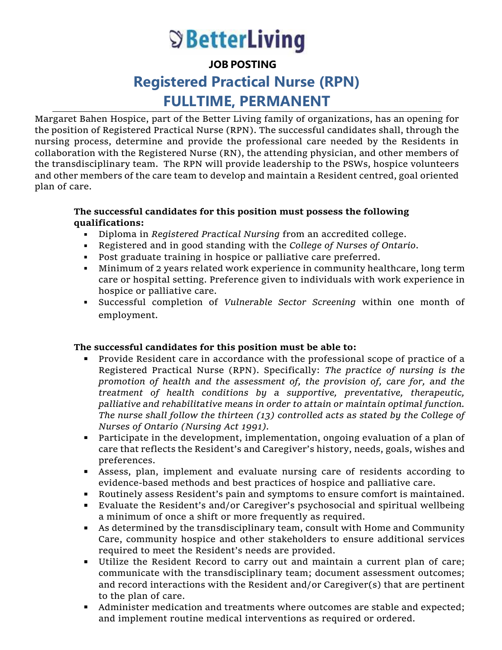# **S** BetterLiving

**JOB POSTING**

# **Registered Practical Nurse (RPN) FULLTIME, PERMANENT**

Margaret Bahen Hospice, part of the Better Living family of organizations, has an opening for the position of Registered Practical Nurse (RPN). The successful candidates shall, through the nursing process, determine and provide the professional care needed by the Residents in collaboration with the Registered Nurse (RN), the attending physician, and other members of the transdisciplinary team. The RPN will provide leadership to the PSWs, hospice volunteers and other members of the care team to develop and maintain a Resident centred, goal oriented plan of care.

## **The successful candidates for this position must possess the following qualifications:**

- Diploma in *Registered Practical Nursing* from an accredited college.
- Registered and in good standing with the *College of Nurses of Ontario*.
- Post graduate training in hospice or palliative care preferred.
- Minimum of 2 years related work experience in community healthcare, long term care or hospital setting. Preference given to individuals with work experience in hospice or palliative care.
- Successful completion of *Vulnerable Sector Screening* within one month of employment.

# **The successful candidates for this position must be able to:**

- Provide Resident care in accordance with the professional scope of practice of a Registered Practical Nurse (RPN). Specifically: *The practice of nursing is the promotion of health and the assessment of, the provision of, care for, and the treatment of health conditions by a supportive, preventative, therapeutic, palliative and rehabilitative means in order to attain or maintain optimal function. The nurse shall follow the thirteen (13) controlled acts as stated by the College of Nurses of Ontario (Nursing Act 1991).*
- Participate in the development, implementation, ongoing evaluation of a plan of care that reflects the Resident's and Caregiver's history, needs, goals, wishes and preferences.
- Assess, plan, implement and evaluate nursing care of residents according to evidence-based methods and best practices of hospice and palliative care.
- Routinely assess Resident's pain and symptoms to ensure comfort is maintained.
- Evaluate the Resident's and/or Caregiver's psychosocial and spiritual wellbeing a minimum of once a shift or more frequently as required.
- As determined by the transdisciplinary team, consult with Home and Community Care, community hospice and other stakeholders to ensure additional services required to meet the Resident's needs are provided.
- Utilize the Resident Record to carry out and maintain a current plan of care; communicate with the transdisciplinary team; document assessment outcomes; and record interactions with the Resident and/or Caregiver(s) that are pertinent to the plan of care.
- Administer medication and treatments where outcomes are stable and expected; and implement routine medical interventions as required or ordered.